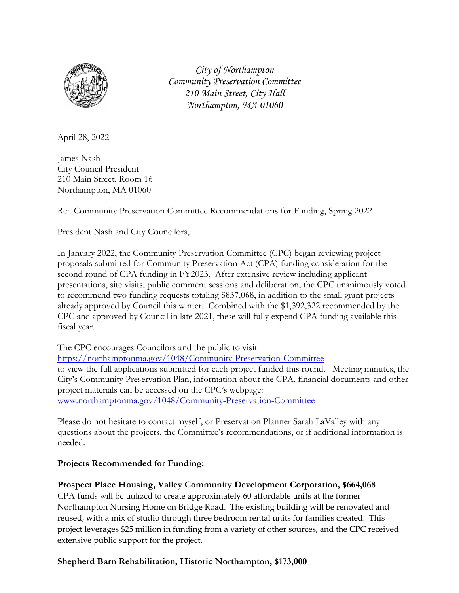

*City of Northampton Community Preservation Committee 210 Main Street, City Hall Northampton, MA 01060*

April 28, 2022

James Nash City Council President 210 Main Street, Room 16 Northampton, MA 01060

Re: Community Preservation Committee Recommendations for Funding, Spring 2022

President Nash and City Councilors,

In January 2022, the Community Preservation Committee (CPC) began reviewing project proposals submitted for Community Preservation Act (CPA) funding consideration for the second round of CPA funding in FY2023. After extensive review including applicant presentations, site visits, public comment sessions and deliberation, the CPC unanimously voted to recommend two funding requests totaling \$837,068, in addition to the small grant projects already approved by Council this winter. Combined with the \$1,392,322 recommended by the CPC and approved by Council in late 2021, these will fully expend CPA funding available this fiscal year.

The CPC encourages Councilors and the public to visit

<https://northamptonma.gov/1048/Community-Preservation-Committee> to view the full applications submitted for each project funded this round. Meeting minutes, the City's Community Preservation Plan, information about the CPA, financial documents and other project materials can be accessed on the CPC's webpage: [www.northamptonma.gov/1048/Community-Preservation-Committee](http://www.northamptonma.gov/1048/Community-Preservation-Committee)

Please do not hesitate to contact myself, or Preservation Planner Sarah LaValley with any questions about the projects, the Committee's recommendations, or if additional information is needed.

## **Projects Recommended for Funding:**

## **Prospect Place Housing, Valley Community Development Corporation, \$664,068**

CPA funds will be utilized to create approximately 60 affordable units at the former Northampton Nursing Home on Bridge Road. The existing building will be renovated and reused, with a mix of studio through three bedroom rental units for families created. This project leverages \$25 million in funding from a variety of other sources, and the CPC received extensive public support for the project.

## **Shepherd Barn Rehabilitation, Historic Northampton, \$173,000**